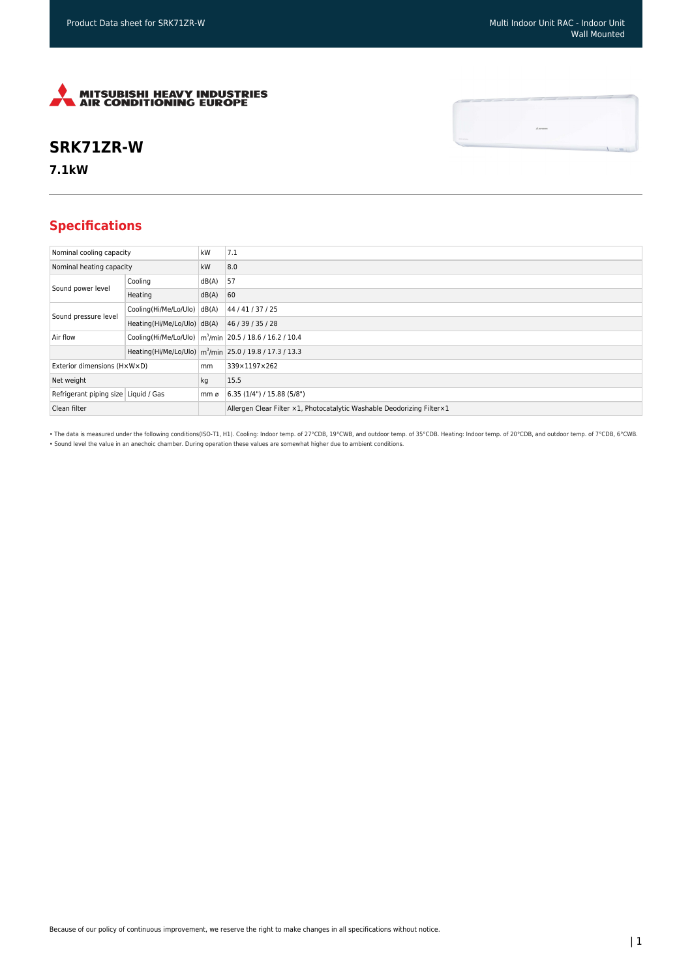

## **SRK71ZR-W**

**7.1kW**

## **Specifications**

| Nominal cooling capacity             |                             | kW    | 7.1                                                                     |
|--------------------------------------|-----------------------------|-------|-------------------------------------------------------------------------|
| Nominal heating capacity             |                             | kW    | 8.0                                                                     |
| Sound power level                    | Cooling                     | dB(A) | 57                                                                      |
|                                      | Heating                     | dB(A) | 60                                                                      |
| Sound pressure level                 | Cooling(Hi/Me/Lo/Ulo) dB(A) |       | 44 / 41 / 37 / 25                                                       |
|                                      | Heating(Hi/Me/Lo/Ulo) dB(A) |       | 46 / 39 / 35 / 28                                                       |
| Air flow                             |                             |       | Cooling(Hi/Me/Lo/Ulo)   m <sup>3</sup> /min   20.5 / 18.6 / 16.2 / 10.4 |
|                                      |                             |       | Heating(Hi/Me/Lo/Ulo)   m <sup>3</sup> /min 25.0 / 19.8 / 17.3 / 13.3   |
| Exterior dimensions (HxWxD)          |                             | mm    | 339×1197×262                                                            |
| Net weight                           |                             | kg    | 15.5                                                                    |
| Refrigerant piping size Liquid / Gas |                             | mm ø  | 6.35 (1/4") / 15.88 (5/8")                                              |
| Clean filter                         |                             |       | Allergen Clear Filter x1, Photocatalytic Washable Deodorizing Filter x1 |

• The data is measured under the following conditions(ISO-T1, H1). Cooling: Indoor temp. of 27°CDB, 19°CWB, and outdoor temp. of 35°CDB. Heating: Indoor temp. of 20°CDB, and outdoor temp. of 7°CDB, 6°CWB. • Sound level the value in an anechoic chamber. During operation these values are somewhat higher due to ambient conditions.